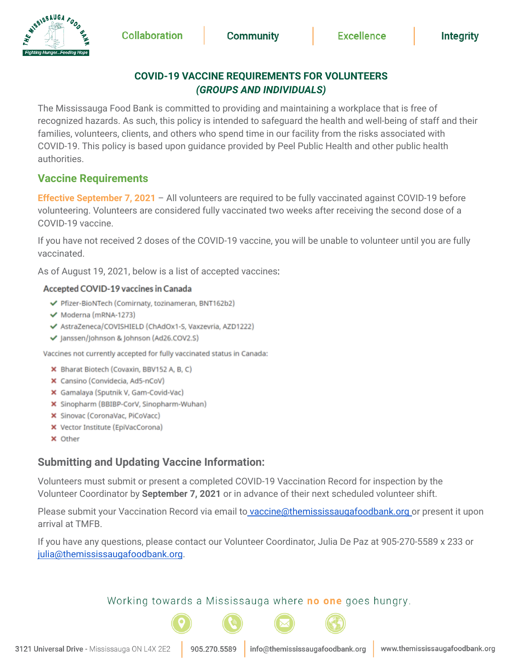## **COVID-19 VACCINE REQUIREMENTS FOR VOLUNTEERS** *(GROUPS AND INDIVIDUALS)*

The Mississauga Food Bank is committed to providing and maintaining a workplace that is free of recognized hazards. As such, this policy is intended to safeguard the health and well-being of staff and their families, volunteers, clients, and others who spend time in our facility from the risks associated with COVID-19. This policy is based upon guidance provided by Peel Public Health and other public health authorities.

## **Vaccine Requirements**

MISSISSAUGA FOOD

**Effective September 7, 2021** – All volunteers are required to be fully vaccinated against COVID-19 before volunteering. Volunteers are considered fully vaccinated two weeks after receiving the second dose of a COVID-19 vaccine.

If you have not received 2 doses of the COVID-19 vaccine, you will be unable to volunteer until you are fully vaccinated.

As of August 19, 2021, below is a list of accepted vaccines:

#### Accepted COVID-19 vaccines in Canada

- ← Pfizer-BioNTech (Comirnaty, tozinameran, BNT162b2)
- ← Moderna (mRNA-1273)
- ◆ AstraZeneca/COVISHIELD (ChAdOx1-S, Vaxzevria, AZD1222)
- √ Janssen/Johnson & Johnson (Ad26.COV2.S)

Vaccines not currently accepted for fully vaccinated status in Canada:

- X Bharat Biotech (Covaxin, BBV152 A, B, C)
- X Cansino (Convidecia, Ad5-nCoV)
- X Gamalaya (Sputnik V, Gam-Covid-Vac)
- X Sinopharm (BBIBP-CorV, Sinopharm-Wuhan)
- X Sinovac (CoronaVac, PiCoVacc)
- X Vector Institute (EpiVacCorona)
- **x** Other

# **Submitting and Updating Vaccine Information:**

Volunteers must submit or present a completed COVID-19 Vaccination Record for inspection by the Volunteer Coordinator by **September 7, 2021** or in advance of their next scheduled volunteer shift.

Please submit your Vaccination Record via email to [vaccine@themississaugafoodbank.org](mailto:info@themississaugafoodbank.org) or present it upon arrival at TMFB.

If you have any questions, please contact our Volunteer Coordinator, Julia De Paz at 905-270-5589 x 233 or [julia@themississaugafoodbank.org](mailto:julia@themississaugafoodbank.org).

### Working towards a Mississauga where no one goes hungry.